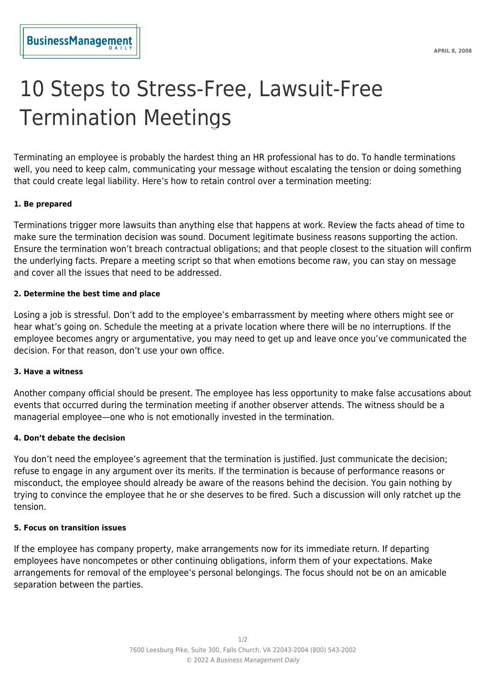# 10 Steps to Stress-Free, Lawsuit-Free Termination Meetings

Terminating an employee is probably the hardest thing an HR professional has to do. To handle terminations well, you need to keep calm, communicating your message without escalating the tension or doing something that could create legal liability. Here's how to retain control over a termination meeting:

## **1. Be prepared**

Terminations trigger more lawsuits than anything else that happens at work. Review the facts ahead of time to make sure the termination decision was sound. Document legitimate business reasons supporting the action. Ensure the termination won't breach contractual obligations; and that people closest to the situation will confirm the underlying facts. Prepare a meeting script so that when emotions become raw, you can stay on message and cover all the issues that need to be addressed.

#### **2. Determine the best time and place**

Losing a job is stressful. Don't add to the employee's embarrassment by meeting where others might see or hear what's going on. Schedule the meeting at a private location where there will be no interruptions. If the employee becomes angry or argumentative, you may need to get up and leave once you've communicated the decision. For that reason, don't use your own office.

# **3. Have a witness**

Another company official should be present. The employee has less opportunity to make false accusations about events that occurred during the termination meeting if another observer attends. The witness should be a managerial employee—one who is not emotionally invested in the termination.

#### **4. Don't debate the decision**

You don't need the employee's agreement that the termination is justified. Just communicate the decision; refuse to engage in any argument over its merits. If the termination is because of performance reasons or misconduct, the employee should already be aware of the reasons behind the decision. You gain nothing by trying to convince the employee that he or she deserves to be fired. Such a discussion will only ratchet up the tension.

#### **5. Focus on transition issues**

If the employee has company property, make arrangements now for its immediate return. If departing employees have noncompetes or other continuing obligations, inform them of your expectations. Make arrangements for removal of the employee's personal belongings. The focus should not be on an amicable separation between the parties.